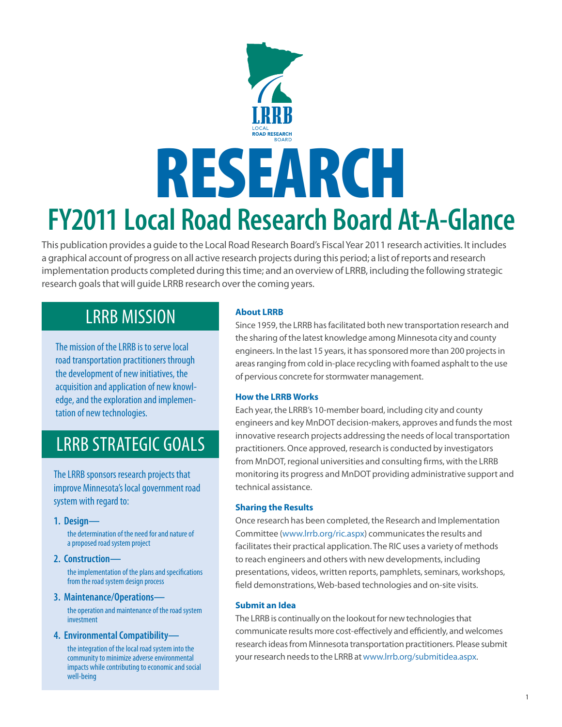# **FY2011 Local Road Research Board At-A-Glance**  RESEARCH

This publication provides a guide to the Local Road Research Board's Fiscal Year 2011 research activities. It includes a graphical account of progress on all active research projects during this period; a list of reports and research implementation products completed during this time; and an overview of LRRB, including the following strategic research goals that will guide LRRB research over the coming years.

# LRRB MISSION

The mission of the LRRB is to serve local road transportation practitioners through the development of new initiatives, the acquisition and application of new knowledge, and the exploration and implementation of new technologies.

# LRRB STRATEGIC GOALS

The LRRB sponsors research projects that improve Minnesota's local government road system with regard to:

# **1. Design—**

֚֚֚֬

 the determination of the need for and nature of a proposed road system project

**2. Construction—**

 the implementation of the plans and specifications from the road system design process

**3. Maintenance/Operations—**

 the operation and maintenance of the road system investment

**4. Environmental Compatibility—**

 the integration of the local road system into the community to minimize adverse environmental impacts while contributing to economic and social well-being

# **About LRRB**

Since 1959, the LRRB has facilitated both new transportation research and the sharing of the latest knowledge among Minnesota city and county engineers. In the last 15 years, it has sponsored more than 200 projects in areas ranging from cold in-place recycling with foamed asphalt to the use of pervious concrete for stormwater management.

# **How the LRRB Works**

Each year, the LRRB's 10-member board, including city and county engineers and key MnDOT decision-makers, approves and funds the most innovative research projects addressing the needs of local transportation practitioners. Once approved, research is conducted by investigators from MnDOT, regional universities and consulting firms, with the LRRB monitoring its progress and MnDOT providing administrative support and technical assistance.

# **Sharing the Results**

Once research has been completed, the Research and Implementation Committee (www.lrrb.org/ric.aspx) communicates the results and facilitates their practical application. The RIC uses a variety of methods to reach engineers and others with new developments, including presentations, videos, written reports, pamphlets, seminars, workshops, field demonstrations, Web-based technologies and on-site visits.

# **Submit an Idea**

The LRRB is continually on the lookout for new technologies that communicate results more cost-effectively and efficiently, and welcomes research ideas from Minnesota transportation practitioners. Please submit your research needs to the LRRB at www.lrrb.org/submitidea.aspx.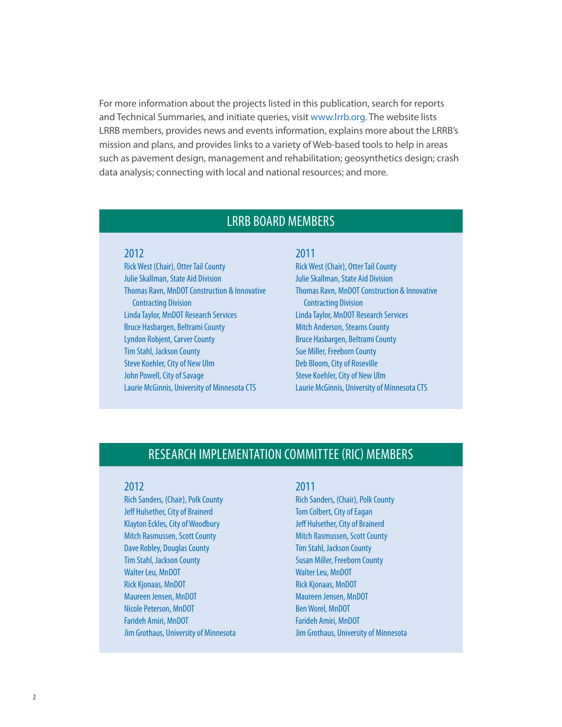For more information about the projects listed in this publication, search for reports and Technical Summaries, and initiate queries, visit www.lrrb.org. The website lists LRRB members, provides news and events information, explains more about the LRRB's mission and plans, and provides links to a variety of Web-based tools to help in areas such as pavement design, management and rehabilitation; geosynthetics design; crash data analysis; connecting with local and national resources; and more.

# LRRB BOARD MEMBERS

## 2012

Rick West (Chair), Otter Tail County Julie Skallman, State Aid Division Thomas Ravn, MnDOT Construction & Innovative Contracting Division Linda Taylor, MnDOT Research Services Bruce Hasbargen, Beltrami County Lyndon Robjent, Carver County Tim Stahl, Jackson County Steve Koehler, City of New Ulm John Powell, City of Savage Laurie McGinnis, University of Minnesota CTS

## 2011

Rick West (Chair), Otter Tail County Julie Skallman, State Aid Division Thomas Ravn, MnDOT Construction & Innovative Contracting Division Linda Taylor, MnDOT Research Services Mitch Anderson, Stearns County Bruce Hasbargen, Beltrami County Sue Miller, Freeborn County Deb Bloom, City of Roseville Steve Koehler, City of New Ulm Laurie McGinnis, University of Minnesota CTS

# RESEARCH IMPLEMENTATION COMMITTEE (RIC) MEMBERS

#### 2012

Rich Sanders, (Chair), Polk County Jeff Hulsether, City of Brainerd Klayton Eckles, City of Woodbury Mitch Rasmussen, Scott County Dave Robley, Douglas County Tim Stahl, Jackson County Walter Leu, MnDOT Rick Kjonaas, MnDOT Maureen Jensen, MnDOT Nicole Peterson, MnDOT Farideh Amiri, MnDOT Jim Grothaus, University of Minnesota

#### 2011

Rich Sanders, (Chair), Polk County Tom Colbert, City of Eagan Jeff Hulsether, City of Brainerd Mitch Rasmussen, Scott County Tim Stahl, Jackson County Susan Miller, Freeborn County Walter Leu, MnDOT Rick Kjonaas, MnDOT Maureen Jensen, MnDOT Ben Worel, MnDOT Farideh Amiri, MnDOT Jim Grothaus, University of Minnesota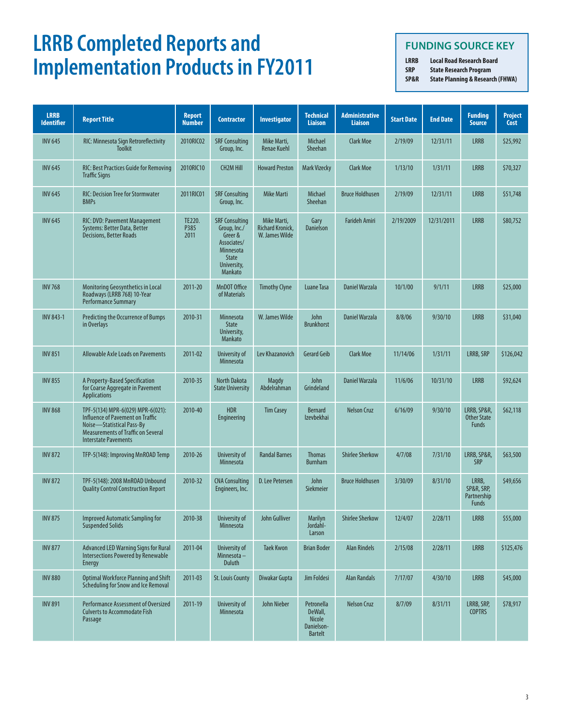# **LRRB Completed Reports and Implementation Products in FY2011**

# **FUNDING SOURCE KEY**

**LRRB Local Road Research Board SRP State Research Program** 

**SP&R State Planning & Research (FHWA)**

| <b>LRRB</b><br><b>Identifier</b> | <b>Report Title</b>                                                                                                                                                            | <b>Report</b><br><b>Number</b> | <b>Contractor</b>                                                                                                      | <b>Investigator</b>                                      | <b>Technical</b><br><b>Liaison</b>                              | <b>Administrative</b><br><b>Liaison</b> | <b>Start Date</b> | <b>End Date</b> | <b>Funding</b><br><b>Source</b>                    | <b>Project</b><br>Cost |
|----------------------------------|--------------------------------------------------------------------------------------------------------------------------------------------------------------------------------|--------------------------------|------------------------------------------------------------------------------------------------------------------------|----------------------------------------------------------|-----------------------------------------------------------------|-----------------------------------------|-------------------|-----------------|----------------------------------------------------|------------------------|
| <b>INV 645</b>                   | RIC: Minnesota Sign Retroreflectivity<br><b>Toolkit</b>                                                                                                                        | 2010RIC02                      | <b>SRF Consulting</b><br>Group, Inc.                                                                                   | Mike Marti,<br><b>Renae Kuehl</b>                        | Michael<br>Sheehan                                              | <b>Clark Moe</b>                        | 2/19/09           | 12/31/11        | <b>LRRB</b>                                        | \$25,992               |
| <b>INV 645</b>                   | <b>RIC: Best Practices Guide for Removing</b><br><b>Traffic Signs</b>                                                                                                          | 2010RIC10                      | <b>CH2M Hill</b>                                                                                                       | <b>Howard Preston</b>                                    | <b>Mark Vizecky</b>                                             | <b>Clark Moe</b>                        | 1/13/10           | 1/31/11         | <b>LRRB</b>                                        | \$70,327               |
| <b>INV 645</b>                   | <b>RIC: Decision Tree for Stormwater</b><br><b>BMPs</b>                                                                                                                        | 2011RIC01                      | <b>SRF Consulting</b><br>Group, Inc.                                                                                   | <b>Mike Marti</b>                                        | Michael<br>Sheehan                                              | <b>Bruce Holdhusen</b>                  | 2/19/09           | 12/31/11        | <b>LRRB</b>                                        | \$51,748               |
| <b>INV 645</b>                   | RIC: DVD: Pavement Management<br>Systems: Better Data, Better<br><b>Decisions, Better Roads</b>                                                                                | TE220.<br>P385<br>2011         | <b>SRF Consulting</b><br>Group, Inc./<br>Greer &<br>Associates/<br>Minnesota<br><b>State</b><br>University,<br>Mankato | Mike Marti,<br><b>Richard Kronick,</b><br>W. James Wilde | Gary<br><b>Danielson</b>                                        | <b>Farideh Amiri</b>                    | 2/19/2009         | 12/31/2011      | <b>LRRB</b>                                        | \$80,752               |
| <b>INV 768</b>                   | Monitoring Geosynthetics in Local<br>Roadways (LRRB 768) 10-Year<br><b>Performance Summary</b>                                                                                 | 2011-20                        | MnDOT Office<br>of Materials                                                                                           | <b>Timothy Clyne</b>                                     | <b>Luane Tasa</b>                                               | <b>Daniel Warzala</b>                   | 10/1/00           | 9/1/11          | <b>LRRB</b>                                        | \$25,000               |
| <b>INV 843-1</b>                 | Predicting the Occurrence of Bumps<br>in Overlays                                                                                                                              | 2010-31                        | <b>Minnesota</b><br><b>State</b><br>University,<br>Mankato                                                             | W. James Wilde                                           | John<br><b>Brunkhorst</b>                                       | Daniel Warzala                          | 8/8/06            | 9/30/10         | <b>LRRB</b>                                        | \$31,040               |
| <b>INV 851</b>                   | <b>Allowable Axle Loads on Pavements</b>                                                                                                                                       | 2011-02                        | University of<br>Minnesota                                                                                             | Lev Khazanovich                                          | <b>Gerard Geib</b>                                              | <b>Clark Moe</b>                        | 11/14/06          | 1/31/11         | LRRB, SRP                                          | \$126,042              |
| <b>INV 855</b>                   | A Property-Based Specification<br>for Coarse Aggregate in Pavement<br><b>Applications</b>                                                                                      | 2010-35                        | North Dakota<br><b>State University</b>                                                                                | Magdy<br>Abdelrahman                                     | John<br>Grindeland                                              | <b>Daniel Warzala</b>                   | 11/6/06           | 10/31/10        | <b>LRRB</b>                                        | \$92,624               |
| <b>INV 868</b>                   | TPF-5(134) MPR-6(029) MPR-6(021):<br>Influence of Pavement on Traffic<br>Noise-Statistical Pass-By<br><b>Measurements of Traffic on Several</b><br><b>Interstate Pavements</b> | 2010-40                        | <b>HDR</b><br>Engineering                                                                                              | <b>Tim Casey</b>                                         | <b>Bernard</b><br><b>Izevbekhai</b>                             | <b>Nelson Cruz</b>                      | 6/16/09           | 9/30/10         | LRRB, SP&R,<br><b>Other State</b><br><b>Funds</b>  | \$62,118               |
| <b>INV 872</b>                   | TFP-5(148): Improving MnROAD Temp                                                                                                                                              | 2010-26                        | University of<br>Minnesota                                                                                             | <b>Randal Barnes</b>                                     | <b>Thomas</b><br><b>Burnham</b>                                 | <b>Shirlee Sherkow</b>                  | 4/7/08            | 7/31/10         | LRRB, SP&R,<br><b>SRP</b>                          | \$63,500               |
| <b>INV 872</b>                   | TPF-5(148): 2008 MnROAD Unbound<br><b>Quality Control Construction Report</b>                                                                                                  | 2010-32                        | <b>CNA Consulting</b><br>Engineers, Inc.                                                                               | D. Lee Petersen                                          | John<br><b>Siekmeier</b>                                        | <b>Bruce Holdhusen</b>                  | 3/30/09           | 8/31/10         | LRRB,<br>SP&R, SRP,<br>Partnership<br><b>Funds</b> | \$49,656               |
| <b>INV 875</b>                   | <b>Improved Automatic Sampling for</b><br><b>Suspended Solids</b>                                                                                                              | 2010-38                        | University of<br>Minnesota                                                                                             | John Gulliver                                            | Marilyn<br>Jordahl-<br>Larson                                   | <b>Shirlee Sherkow</b>                  | 12/4/07           | 2/28/11         | <b>LRRB</b>                                        | \$55,000               |
| <b>INV 877</b>                   | Advanced LED Warning Signs for Rural<br><b>Intersections Powered by Renewable</b><br>Energy                                                                                    | 2011-04                        | University of<br>Minnesota-<br>Duluth                                                                                  | <b>Taek Kwon</b>                                         | <b>Brian Boder</b>                                              | <b>Alan Rindels</b>                     | 2/15/08           | 2/28/11         | <b>LRRB</b>                                        | \$125,476              |
| <b>INV 880</b>                   | <b>Optimal Workforce Planning and Shift</b><br><b>Scheduling for Snow and Ice Removal</b>                                                                                      | 2011-03                        | <b>St. Louis County</b>                                                                                                | Diwakar Gupta                                            | Jim Foldesi                                                     | <b>Alan Randals</b>                     | 7/17/07           | 4/30/10         | <b>LRRB</b>                                        | \$45,000               |
| <b>INV 891</b>                   | Performance Assessment of Oversized<br><b>Culverts to Accommodate Fish</b><br>Passage                                                                                          | 2011-19                        | University of<br>Minnesota                                                                                             | John Nieber                                              | Petronella<br>DeWall,<br>Nicole<br>Danielson-<br><b>Bartelt</b> | <b>Nelson Cruz</b>                      | 8/7/09            | 8/31/11         | LRRB, SRP,<br><b>COPTRS</b>                        | \$78,917               |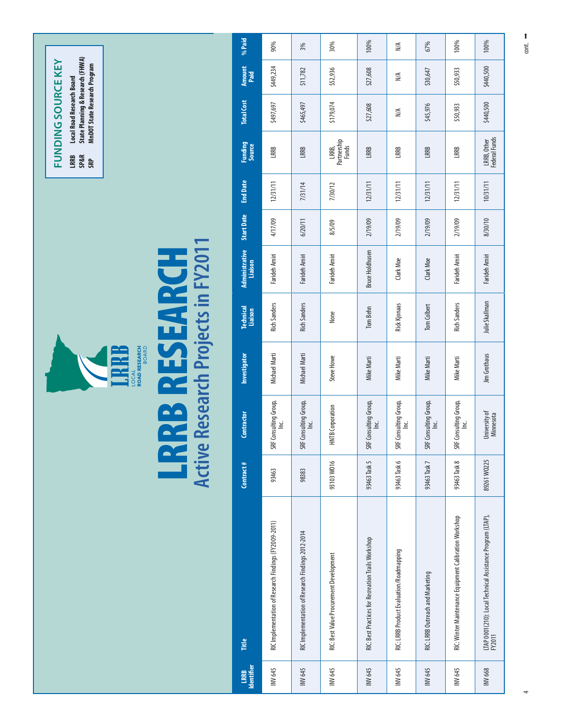|                                                                                                      | %Paid                       | 90%                                                   | 3%                                                | 30%                                     | 100%                                               | N/A                                      | 67%                                | 100%                                                   | 100%                                                                 |
|------------------------------------------------------------------------------------------------------|-----------------------------|-------------------------------------------------------|---------------------------------------------------|-----------------------------------------|----------------------------------------------------|------------------------------------------|------------------------------------|--------------------------------------------------------|----------------------------------------------------------------------|
|                                                                                                      | Amount<br>Paid              | \$449,234                                             | \$11,782                                          | \$52,936                                | \$27,608                                           | N/A                                      | \$30,647                           | \$50,933                                               | \$440,500                                                            |
| State Planning & Research (FHWA)<br>MnDOT State Research Program<br><b>Local Road Research Board</b> | <b>Total Cost</b>           | \$497,697                                             | \$465,497                                         | \$179,074                               | \$27,608                                           | $\stackrel{\triangle}{\geq}$             | \$45,976                           | \$50,933                                               | \$440,500                                                            |
| <b>FUNDING SOURCE KEY</b><br>LRRB<br><b>SP&amp;R</b>                                                 | Funding<br>Source           | LRRB                                                  | LRRB                                              | LRRB,<br>Partnership<br>Funds           | LRRB                                               | LRRB                                     | LRRB                               | LRRB                                                   | LRRB, Other<br>Federal Funds                                         |
|                                                                                                      | <b>End Date</b>             | 12/31/11                                              | 7/31/14                                           | 7/30/12                                 | 12/31/11                                           | 12/31/11                                 | 12/31/11                           | 12/31/11                                               | 10/31/11                                                             |
|                                                                                                      | <b>Start Date</b>           | 4/17/09                                               | 6/20/11                                           | 8/5/09                                  | 2/19/09                                            | 2/19/09                                  | 2/19/09                            | 2/19/09                                                | 8/30/10                                                              |
|                                                                                                      | Administrative<br>Liaison   | Farideh Amiri                                         | Farideh Amiri                                     | Farideh Amiri                           | <b>Bruce Holdhusen</b>                             | Clark Moe                                | Clark Moe                          | Farideh Amiri                                          | Farideh Amiri                                                        |
| SEARCH                                                                                               | <b>Technical</b><br>Liaison | <b>Rich Sanders</b>                                   | <b>Rich Sanders</b>                               | None                                    | Tom Behn                                           | <b>Rick Kjonaas</b>                      | Tom Colbert                        | <b>Rich Sanders</b>                                    | Julie Skallman                                                       |
| Research Projects in FY2011<br><b>ROAD RESEARCH</b><br>BOARD<br>LOCAL                                | <b>Investigator</b>         | Michael Marti                                         | Michael Marti                                     | Steve Howe                              | Mike Marti                                         | Mike Marti                               | Mike Marti                         | Mike Marti                                             | Jim Grothaus                                                         |
| aa<br>az                                                                                             | Contractor                  | Consulting Group,<br>ن<br>ڪ<br>SF                     | F Consulting Group,<br>Inc.<br>SRF                | <b>HNTB</b> Corporation                 | SRF Consulting Group,<br>Inc.                      | Consulting Group,<br>ن<br><u>ا</u><br>SF | F Consulting Group,<br>Inc.<br>SRF | F Consulting Group,<br>Inc.<br>SF                      | University of<br>Minnesota                                           |
| <b>LR</b><br>Active                                                                                  | Contract#                   | 93463                                                 | 98383                                             | 93103W016                               | 93463 Task 5                                       | 93463 Task 6                             | 93463 Task 7                       | 93463 Task 8                                           | 89261 W0225                                                          |
|                                                                                                      | Title                       | RIC Implementation of Research Findings (FY2009-2011) | RIC Implementation of Research Findings 2012-2014 | RIC: Best Value Procurement Development | RIC: Best Practices for Recreation Trails Workshop | RIC: LRRB Product Evaluation/Roadmapping | RIC: LRRB Outreach and Marketing   | RIC: Winter Maintenance Equipment Calibration Workshop | LTAP 0001(210): Local Technical Assistance Program (LTAP),<br>FY2011 |
|                                                                                                      | Identifier<br>LRRB          | INV 645                                               | INV 645                                           | INV <sub>645</sub>                      | INV 645                                            | INV 645                                  | INV 645                            | INV 645                                                | INV 668                                                              |

4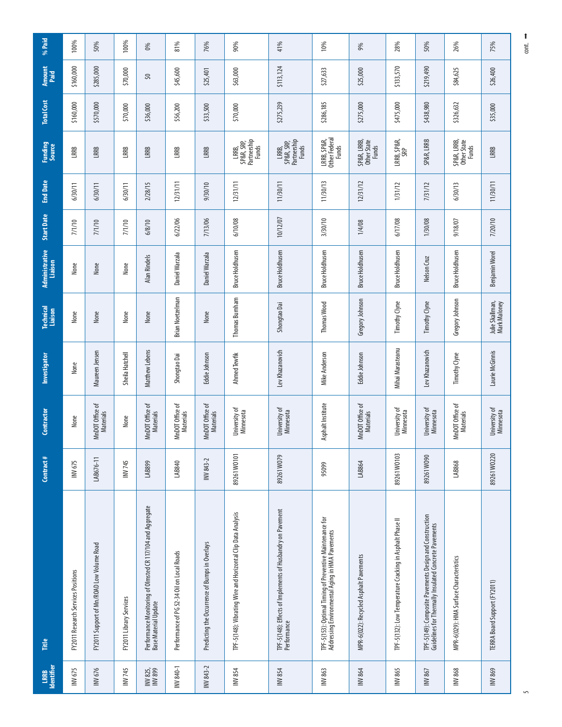| Identifier<br>LRRB  | Title                                                                                                            | Contract#   | Contractor                          | Investigator     | <b>Technical</b><br>Liaison     | Administrative<br>Liaison | <b>Start Date</b> | <b>End Date</b> | <b>Funding</b><br>Source                    | <b>Total Cost</b> | Amount<br>Paid | % Paid |
|---------------------|------------------------------------------------------------------------------------------------------------------|-------------|-------------------------------------|------------------|---------------------------------|---------------------------|-------------------|-----------------|---------------------------------------------|-------------------|----------------|--------|
| INV 675             | FY2011 Research Services Positions                                                                               | INV 675     | None                                | None             | None                            | None                      | 7/1/10            | 6/30/11         | LRRB                                        | \$160,000         | \$160,000      | 100%   |
| INV 676             | FY2011 Support of Mn/ROAD Low Volume Road                                                                        | LAB676-11   | ৳<br>MnDOT Office<br>Materials      | Maureen Jensen   | None                            | None                      | 7/1/10            | 6/30/11         | LRRB                                        | \$570,000         | \$285,000      | 50%    |
| INV 745             | FY2011 Library Services                                                                                          | INV 745     | None                                | Sheila Hatchell  | None                            | None                      | 7/1/10            | 6/30/11         | LRRB                                        | \$70,000          | \$70,000       | 100%   |
| INV 825,<br>INV 899 | Performance Monitoring of Olmsted CR 117/104 and Aggregate<br>Base Material Update                               | LAB899      | ৳<br>MnDOT Office<br>Materials      | Matthew Lebens   | None                            | <b>Alan Rindels</b>       | 6/8/10            | 2/28/15         | LRRB                                        | \$36,000          | వి             | $\%$   |
| INV840-1            | Performance of PG 52-34 Oil on Local Roads                                                                       | LAB840      | MnDOT Office of<br><b>Materials</b> | Shongtao Dai     | <b>Brian Noetzelman</b>         | Daniel Warzala            | 6/22/06           | 12/31/11        | LRRB                                        | \$56,200          | \$45,600       | 81%    |
| INV 843-2           | Predicting the Occurrence of Bumps in Overlays                                                                   | INV 843-2   | MnDOT Office of<br>Materials        | Eddie Johnson    | None                            | Daniel Warzala            | 7/13/06           | 9/30/10         | LRRB                                        | \$33,500          | \$25,401       | 76%    |
| INV854              | TPF-5(148): Vibrating Wire and Horizontal Clip Data Analysis                                                     | 89261 W0101 | Jniversity of<br>Minnesota          | Ahmed Tewfik     | Thomas Burnham                  | <b>Bruce Holdhusen</b>    | 6/10/08           | 12/31/11        | Partnership<br>Funds<br>SP&R, SRP,<br>LRRB, | \$70,000          | \$63,000       | 90%    |
| INV 854             | TPF-5(148): Effects of Implements of Husbandry on Pavement<br>Performance                                        | 89261W079   | University of<br>Minnesota          | Lev Khazanovich  | Shongtao Dai                    | <b>Bruce Holdhusen</b>    | 10/12/07          | 11/30/11        | LRRB,<br>SP&R, SRP,<br>Partnership<br>Funds | \$275,239         | \$113,124      | 41%    |
| INV 863             | TPF-S(153): Optimal Timing of Preventive Maintenance for<br>Addressing Environmental Aging in HMA Pavements      | 95099       | Asphalt Institute                   | Mike Anderson    | Thomas Wood                     | <b>Bruce Holdhusen</b>    | 3/30/10           | 11/30/13        | LRRB, SP&R,<br>Other Federal<br>Funds       | \$286,185         | \$27,633       | 10%    |
| INV 864             | MPR-6(022): Recycled Asphalt Pavements                                                                           | LAB864      | MnDOT Office of<br>Materials        | Eddie Johnson    | Gregory Johnson                 | <b>Bruce Holdhusen</b>    | 1/4/08            | 12/31/12        | SP&R, LRRB,<br>Other State<br>Funds         | \$275,000         | \$25,000       | 9%     |
| INV865              | TPF-5(132): Low Temperature Cracking in Asphalt Phase II                                                         | 89261 W0103 | University of<br><b>Minnesota</b>   | Mihai Marasteanu | Timothy Clyne                   | <b>Bruce Holdhusen</b>    | 6/17/08           | 1/31/12         | LRRB, SP&R,<br>SRP                          | \$475,000         | \$133,570      | 28%    |
| INV 867             | TPF-S(149): Composite Pavements Design and Construction<br>Guidelines for Thermally Insulated Concrete Pavements | 89261W090   | University of<br>Minnesota          | Lev Khazanovich  | Timothy Clyne                   | Nelson Cruz               | 1/30/08           | 7/31/12         | SP&R, LRRB                                  | \$438,980         | \$219,490      | 50%    |
| INV 868             | MPR-6(029): HMA Surface Characteristics                                                                          | LAB868      | MnDOT Office of<br><b>Materials</b> | Timothy Clyne    | Gregory Johnson                 | <b>Bruce Holdhusen</b>    | 9/18/07           | 6/30/13         | SP&R, LRRB,<br>Other State<br>Funds         | \$326,632         | \$84,625       | 26%    |
| INV 869             | TERRA Board Support (FY2011)                                                                                     | 89261 W0220 | University of<br>Minnesota          | Laurie McGinnis  | Julie Skallman,<br>Mark Maloney | Benjamin Worel            | 7/20/10           | 11/30/11        | LRRB                                        | \$35,000          | \$26,400       | 75%    |

 $cont.$   $ightharpoonup$ t 1100<br>Co

 $\overline{5}$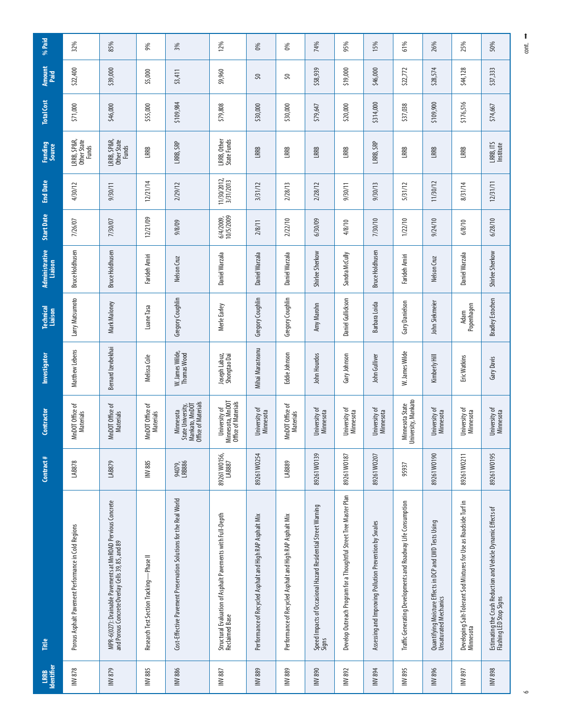| <b>Identifier</b><br>LRRB | Title                                                                                                           | Contract #             | Contractor                                                              | Investigator                   | <b>Technical</b><br>Liaison | Administrative<br>Liaison | <b>Start Date</b>      | <b>End Date</b>          | Funding<br>Source                   | <b>Total Cost</b> | Amount<br>Paid | % Paid |
|---------------------------|-----------------------------------------------------------------------------------------------------------------|------------------------|-------------------------------------------------------------------------|--------------------------------|-----------------------------|---------------------------|------------------------|--------------------------|-------------------------------------|-------------------|----------------|--------|
| INV 878                   | Porous Asphalt Pavement Performance in Cold Regions                                                             | LAB878                 | MnDOT Office of<br>Materials                                            | Matthew Lebens                 | Larry Matsumoto             | <b>Bruce Holdhusen</b>    | 7/26/07                | 4/30/12                  | LRRB, SP&R,<br>Other State<br>Funds | \$71,000          | \$22,400       | 32%    |
| INV879                    | MPR-6(027): Drainable Pavements at MnROAD Pervious Concrete<br>and Porous Concrete Overlay Cells 39, 85, and 89 | LAB879                 | MnDOT Office of<br>Materials                                            | Bernard Izevbekhai             | Mark Maloney                | <b>Bruce Holdhusen</b>    | 7/30/07                | 9/30/11                  | LRRB, SP&R,<br>Other State<br>Funds | \$46,000          | \$39,000       | 85%    |
| <b>INV885</b>             | -Phase II<br>Research Test Section Tracking-                                                                    | <b>INV885</b>          | MnDOT Office of<br>Materials                                            | Melissa Cole                   | Luane Tasa                  | Farideh Amiri             | 12/21/09               | 12/21/14                 | LRRB                                | \$55,000          | \$5,000        | 9%     |
| <b>INV 886</b>            | Cost-Effective Pavement Preservation Solutions for the Real World                                               | 94079,<br>LRB886       | Office of Materials<br>Mankato, MnDOT<br>State University,<br>Minnesota | W. James Wilde,<br>Thomas Wood | Gregory Coughlin            | Nelson Cruz               | 9/8/09                 | 2/29/12                  | LRRB, SRP                           | \$109,984         | \$3,411        | 3%     |
| <b>INV887</b>             | Structural Evaluation of Asphalt Pavements with Full-Depth<br>Reclaimed Base                                    | 89261 WO156,<br>LAB887 | Minnesota, MnDOT<br>Office of Materials<br>University of                | Joseph Labuz,<br>Shongtao Dai  | Merle Earley                | Daniel Warzala            | 6/4/2009,<br>10/5/2009 | 11/30/2012,<br>3/31/2013 | LRRB, Other<br>State Funds          | \$79,808          | \$9,960        | 12%    |
| INV889                    | Performance of Recycled Asphalt and High RAP Asphalt Mix                                                        | 89261 W0254            | Jniversity of<br>Minnesota                                              | Mihai Marasteanu               | Gregory Coughlin            | Daniel Warzala            | 2/8/11                 | 3/31/12                  | LRRB                                | \$30,000          | $\Im$          | 0%     |
| INV889                    | Performance of Recycled Asphalt and High RAP Asphalt Mix                                                        | LAB889                 | MnDOT Office of<br><b>Materials</b>                                     | Eddie Johnson                  | Gregory Coughlin            | Daniel Warzala            | 2/22/10                | 2/28/13                  | LRRB                                | \$30,000          | 3              | $6\%$  |
| INV890                    | Speed Impacts of Occasional Hazard Residential Street Warning<br>Signs                                          | 89261 W0139            | University of<br><b>Minnesota</b>                                       | John Hourdos                   | Amy Marohn                  | Shirlee Sherkow           | 6/30/09                | 2/28/12                  | LRRB                                | \$79,647          | \$58,939       | 74%    |
| INV 892                   | Develop Outreach Program for a Thoughtful Street Tree Master Plan                                               | 89261 W0187            | Jniversity of<br>Minnesota                                              | Gary Johnson                   | Daniel Gullickson           | Sandra McCully            | 4/8/10                 | 9/30/11                  | LRRB                                | \$20,000          | \$19,000       | 95%    |
| <b>INV 894</b>            | Assessing and Improving Pollution Prevention by Swales                                                          | 89261 WO207            | Jniversity of<br>Minnesota                                              | John Gulliver                  | Barbara Loida               | <b>Bruce Holdhusen</b>    | 7/30/10                | 9/30/13                  | LRRB, SRP                           | \$314,000         | \$46,000       | 15%    |
| INV895                    | Traffic Generating Developments and Roadway Life Consumption                                                    | 95937                  | Minnesota State<br>University, Mankato                                  | W. James Wilde                 | Gary Danielson              | Farideh Amiri             | 1/22/10                | 5/31/12                  | LRRB                                | \$37,038          | \$22,772       | 61%    |
| INV 896                   | Quantifying Moisture Effects in DCP and LWD Tests Using<br>Unsaturated Mechanics                                | 89261 WO190            | Jniversity of<br><b>Minnesota</b>                                       | Kimberly Hill                  | John Siekmeier              | Nelson Cruz               | 9/24/10                | 11/30/12                 | LRRB                                | \$109,900         | \$28,574       | 26%    |
| INV 897                   | Developing Salt-Tolerant Sod Mixtures for Use as Roadside Turf in<br>Minnesota                                  | 89261 W0211            | Jniversity of<br>Minnesota                                              | Eric Watkins                   | Popenhagen<br>Adam          | Daniel Warzala            | 6/8/10                 | 8/31/14                  | LRRB                                | \$176,516         | \$44,128       | 25%    |
| INV 898                   | Estimating the Crash Reduction and Vehicle Dynamic Effects of<br>Flashing LED Stop Signs                        | 89261 W0195            | University of<br>Minnesota                                              | Gary Davis                     | <b>Bradley Estochen</b>     | Shirlee Sherkow           | 6/28/10                | 12/31/11                 | LRRB, ITS<br>Institute              | \$74,667          | \$37,333       | 50%    |

 $ext{ }$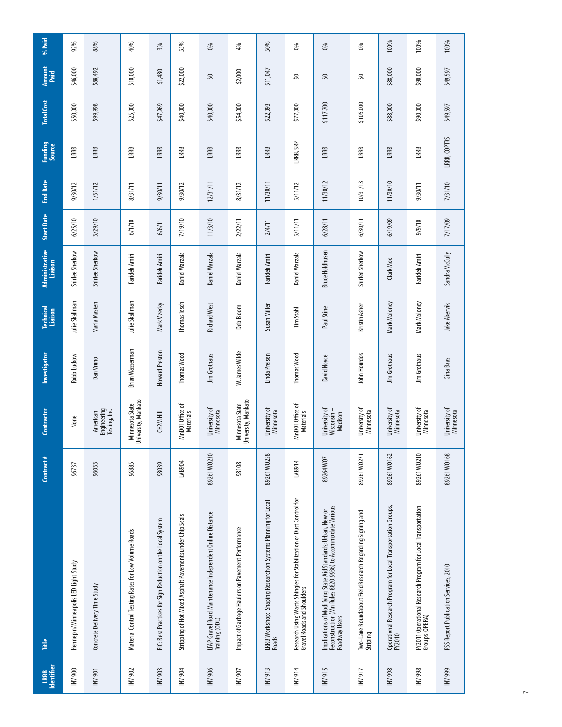| Identifier<br>LRRB | Fitte                                                                                                                                       | Contract#   | Contractor                               | Investigator    | <b>Technical</b><br>Liaison | Administrative<br>Liaison | Start Date | <b>End Date</b> | Funding<br>Source | <b>Total Cost</b> | Amount<br>Paid | % Paid |
|--------------------|---------------------------------------------------------------------------------------------------------------------------------------------|-------------|------------------------------------------|-----------------|-----------------------------|---------------------------|------------|-----------------|-------------------|-------------------|----------------|--------|
| <b>INV 900</b>     | Hennepin/Minneapolis LED Light Study                                                                                                        | 96737       | None                                     | Robb Luckow     | lulie Skallman              | Shirlee Sherkow           | 6/25/10    | 9/30/12         | LRRB              | \$50,000          | \$46,000       | 92%    |
| <b>INV 901</b>     | Concrete Delivery Time Study                                                                                                                | 96033       | Engineering<br>Testing, Inc.<br>American | Dan Vruno       | Maria Masten                | Shirlee Sherkow           | 3/29/10    | 1/31/12         | LRRB              | \$99,998          | \$88,492       | 88%    |
| INV 902            | Material Control Testing Rates for Low Volume Roads                                                                                         | 96885       | Jniversity, Mankato<br>Minnesota State   | Brian Wasserman | Julie Skallman              | Farideh Amiri             | 6/1/10     | 8/31/11         | LRRB              | \$25,000          | \$10,000       | 40%    |
| INV 903            | RIC: Best Practices for Sign Reduction on the Local System                                                                                  | 98039       | CH2M Hill                                | Howard Preston  | Mark Vizecky                | Farideh Amiri             | 6/6/11     | 9/30/11         | LRRB              | \$47,969          | \$1,480        | 3%     |
| <b>NV 904</b>      | Stripping of Hot Mixed Asphalt Pavements under Chip Seals                                                                                   | LAB904      | MnDOT Office of<br>Materials             | Thomas Wood     | Thomas Tesch                | Daniel Warzala            | 7/19/10    | 9/30/12         | LRRB              | \$40,000          | \$22,000       | 55%    |
| <b>INV 906</b>     | LTAP Gravel Road Maintenance Independent Online Distance<br>Training (ODL)                                                                  | 89261 W0230 | Jniversity of<br>Minnesota               | Jim Grothaus    | <b>Richard West</b>         | Daniel Warzala            | 11/3/10    | 12/31/11        | LRRB              | \$40,000          | SQ             | $0\%$  |
| <b>INV907</b>      | Impact of Garbage Haulers on Pavement Performance                                                                                           | 98108       | University, Mankato<br>Minnesota State   | W. James Wilde  | Deb Bloom                   | Daniel Warzala            | 2/22/11    | 8/31/12         | LRRB              | \$54,000          | \$2,000        | 4%     |
| INV 913            | LRRB Workshop:  Shaping Research on Systems Planning for Local<br>Roads                                                                     | 89261 W0258 | Jniversity of<br>Minnesota               | Linda Preisen   | Susan Miller                | Farideh Amiri             | 2/4/11     | 11/30/11        | LRRB              | \$22,093          | \$11,047       | 50%    |
| <b>NV914</b>       | Research Using Waste Shingles for Stabilization or Dust Control for<br>Gravel Roads and Shoulders                                           | LAB914      | MnDOT Office of<br>Materials             | Thomas Wood     | Tim Stahl                   | Daniel Warzala            | 5/11/11    | 5/11/12         | LRRB, SRP         | \$77,000          | S              | 0%     |
| <b>INV915</b>      | Implications of Modifying State Aid Standards; Urban, New or<br>Reconstruction (Mn Rules 8820.9936) to Accommodate Various<br>Roadway Users | 89264W07    | Jniversity of<br>Wisconsin -<br>Madison  | David Noyce     | Paul Stine                  | <b>Bruce Holdhusen</b>    | 6/28/11    | 11/30/12        | LRRB              | \$117,700         | S,             | 0%     |
| <b>II6 AM</b>      | Two-Lane Roundabout Field Research Regarding Signing and<br>Striping                                                                        | 89261 W0271 | University of<br>Minnesota               | John Hourdos    | Kristin Asher               | Shirlee Sherkow           | 6/30/11    | 10/31/13        | LRRB              | \$105,000         | S,             | 0%     |
| <b>B66 AMI</b>     | Operational Research Program for Local Transportation Groups,<br>FY2010                                                                     | 89261 W0162 | University of<br><b>Minnesota</b>        | Jim Grothaus    | Mark Maloney                | Clark Moe                 | 6/19/09    | 11/30/10        | LRRB              | \$88,000          | \$88,000       | 100%   |
| <b>B66 AMI</b>     | FY2011 Operational Research Program for Local Transportation<br>Groups (OPERA)                                                              | 89261 WO210 | University of<br>Minnesota               | Jim Grothaus    | Mark Maloney                | Farideh Amiri             | 9/9/10     | 9/30/11         | LRRB              | \$90,000          | \$90,000       | 100%   |
| <b>INV 999</b>     | RSS Report Publication Services, 2010                                                                                                       | 89261 WO168 | University of<br>Minnesota               | Gina Baas       | Jake Akervik                | Sandra McCully            | 7/17/09    | 7/31/10         | LRRB, COPTRS      | \$49,597          | \$49,597       | 100%   |